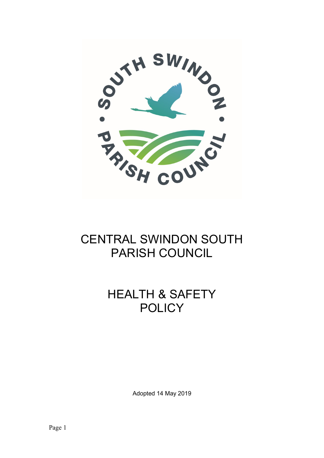

## CENTRAL SWINDON SOUTH PARISH COUNCIL

## HEALTH & SAFETY **POLICY**

Adopted 14 May 2019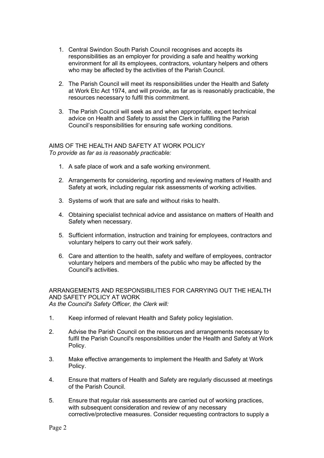- 1. Central Swindon South Parish Council recognises and accepts its responsibilities as an employer for providing a safe and healthy working environment for all its employees, contractors, voluntary helpers and others who may be affected by the activities of the Parish Council.
- 2. The Parish Council will meet its responsibilities under the Health and Safety at Work Etc Act 1974, and will provide, as far as is reasonably practicable, the resources necessary to fulfil this commitment.
- 3. The Parish Council will seek as and when appropriate, expert technical advice on Health and Safety to assist the Clerk in fulfilling the Parish Council's responsibilities for ensuring safe working conditions.

## AIMS OF THE HEALTH AND SAFETY AT WORK POLICY To provide as far as is reasonably practicable:

- 1. A safe place of work and a safe working environment.
- 2. Arrangements for considering, reporting and reviewing matters of Health and Safety at work, including regular risk assessments of working activities.
- 3. Systems of work that are safe and without risks to health.
- 4. Obtaining specialist technical advice and assistance on matters of Health and Safety when necessary.
- 5. Sufficient information, instruction and training for employees, contractors and voluntary helpers to carry out their work safely.
- 6. Care and attention to the health, safety and welfare of employees, contractor voluntary helpers and members of the public who may be affected by the Council's activities.

ARRANGEMENTS AND RESPONSIBILITIES FOR CARRYING OUT THE HEALTH AND SAFETY POLICY AT WORK As the Council's Safety Officer, the Clerk will:

- 1. Keep informed of relevant Health and Safety policy legislation.
- 2. Advise the Parish Council on the resources and arrangements necessary to fulfil the Parish Council's responsibilities under the Health and Safety at Work Policy.
- 3. Make effective arrangements to implement the Health and Safety at Work Policy.
- 4. Ensure that matters of Health and Safety are regularly discussed at meetings of the Parish Council.
- 5. Ensure that regular risk assessments are carried out of working practices, with subsequent consideration and review of any necessary corrective/protective measures. Consider requesting contractors to supply a